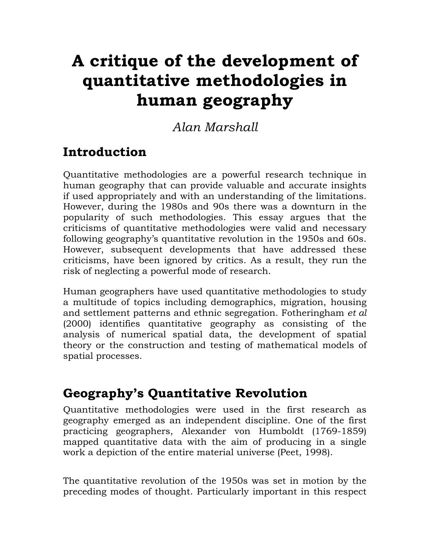# **A critique of the development of quantitative methodologies in human geography**

*Alan Marshall* 

#### **Introduction**

Quantitative methodologies are a powerful research technique in human geography that can provide valuable and accurate insights if used appropriately and with an understanding of the limitations. However, during the 1980s and 90s there was a downturn in the popularity of such methodologies. This essay argues that the criticisms of quantitative methodologies were valid and necessary following geography's quantitative revolution in the 1950s and 60s. However, subsequent developments that have addressed these criticisms, have been ignored by critics. As a result, they run the risk of neglecting a powerful mode of research.

Human geographers have used quantitative methodologies to study a multitude of topics including demographics, migration, housing and settlement patterns and ethnic segregation. Fotheringham *et al* (2000) identifies quantitative geography as consisting of the analysis of numerical spatial data, the development of spatial theory or the construction and testing of mathematical models of spatial processes.

#### **Geography's Quantitative Revolution**

Quantitative methodologies were used in the first research as geography emerged as an independent discipline. One of the first practicing geographers, Alexander von Humboldt (1769-1859) mapped quantitative data with the aim of producing in a single work a depiction of the entire material universe (Peet, 1998).

The quantitative revolution of the 1950s was set in motion by the preceding modes of thought. Particularly important in this respect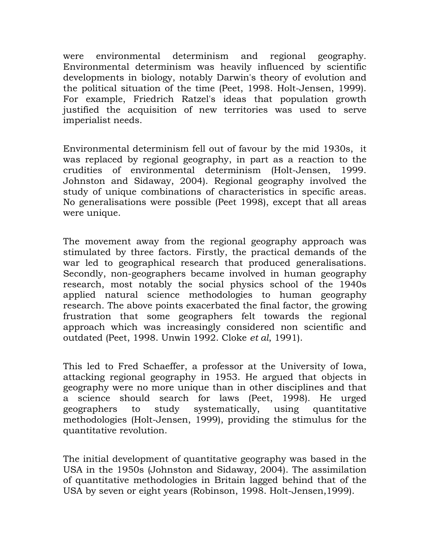were environmental determinism and regional geography. Environmental determinism was heavily influenced by scientific developments in biology, notably Darwin's theory of evolution and the political situation of the time (Peet, 1998. Holt-Jensen, 1999). For example, Friedrich Ratzel's ideas that population growth justified the acquisition of new territories was used to serve imperialist needs.

Environmental determinism fell out of favour by the mid 1930s, it was replaced by regional geography, in part as a reaction to the crudities of environmental determinism (Holt-Jensen, 1999. Johnston and Sidaway, 2004). Regional geography involved the study of unique combinations of characteristics in specific areas. No generalisations were possible (Peet 1998), except that all areas were unique.

The movement away from the regional geography approach was stimulated by three factors. Firstly, the practical demands of the war led to geographical research that produced generalisations. Secondly, non-geographers became involved in human geography research, most notably the social physics school of the 1940s applied natural science methodologies to human geography research. The above points exacerbated the final factor, the growing frustration that some geographers felt towards the regional approach which was increasingly considered non scientific and outdated (Peet, 1998. Unwin 1992. Cloke *et al*, 1991).

This led to Fred Schaeffer, a professor at the University of Iowa, attacking regional geography in 1953. He argued that objects in geography were no more unique than in other disciplines and that a science should search for laws (Peet, 1998). He urged geographers to study systematically, using quantitative methodologies (Holt-Jensen, 1999), providing the stimulus for the quantitative revolution.

The initial development of quantitative geography was based in the USA in the 1950s (Johnston and Sidaway*,* 2004). The assimilation of quantitative methodologies in Britain lagged behind that of the USA by seven or eight years (Robinson, 1998. Holt-Jensen,1999).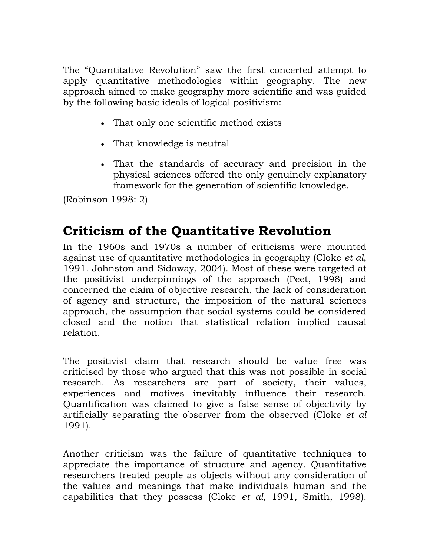The "Quantitative Revolution" saw the first concerted attempt to apply quantitative methodologies within geography. The new approach aimed to make geography more scientific and was guided by the following basic ideals of logical positivism:

- That only one scientific method exists
- That knowledge is neutral
- That the standards of accuracy and precision in the physical sciences offered the only genuinely explanatory framework for the generation of scientific knowledge.

(Robinson 1998: 2)

#### **Criticism of the Quantitative Revolution**

In the 1960s and 1970s a number of criticisms were mounted against use of quantitative methodologies in geography (Cloke *et al*, 1991. Johnston and Sidaway*,* 2004). Most of these were targeted at the positivist underpinnings of the approach (Peet, 1998) and concerned the claim of objective research, the lack of consideration of agency and structure, the imposition of the natural sciences approach, the assumption that social systems could be considered closed and the notion that statistical relation implied causal relation.

The positivist claim that research should be value free was criticised by those who argued that this was not possible in social research. As researchers are part of society, their values, experiences and motives inevitably influence their research. Quantification was claimed to give a false sense of objectivity by artificially separating the observer from the observed (Cloke *et al* 1991).

Another criticism was the failure of quantitative techniques to appreciate the importance of structure and agency. Quantitative researchers treated people as objects without any consideration of the values and meanings that make individuals human and the capabilities that they possess (Cloke *et al,* 1991, Smith, 1998).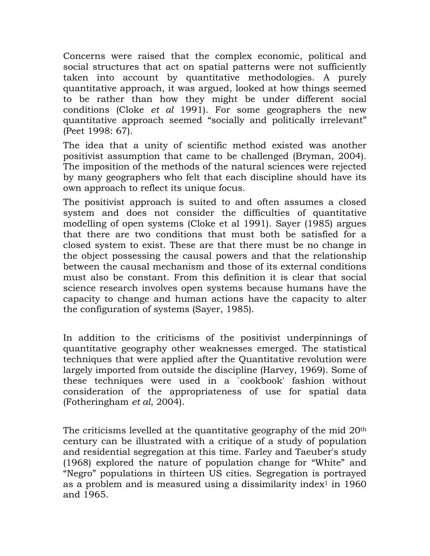Concerns were raised that the complex economic, political and social structures that act on spatial patterns were not sufficiently taken into account by quantitative methodologies. A purely quantitative approach, it was argued, looked at how things seemed to be rather than how they might be under different social conditions (Cloke *et al* 1991). For some geographers the new quantitative approach seemed "socially and politically irrelevant" (Peet 1998: 67).

The idea that a unity of scientific method existed was another positivist assumption that came to be challenged (Bryman, 2004). The imposition of the methods of the natural sciences were rejected by many geographers who felt that each discipline should have its own approach to reflect its unique focus.

The positivist approach is suited to and often assumes a closed system and does not consider the difficulties of quantitative modelling of open systems (Cloke et al 1991). Sayer (1985) argues that there are two conditions that must both be satisfied for a closed system to exist. These are that there must be no change in the object possessing the causal powers and that the relationship between the causal mechanism and those of its external conditions must also be constant. From this definition it is clear that social science research involves open systems because humans have the capacity to change and human actions have the capacity to alter the configuration of systems (Sayer, 1985).

In addition to the criticisms of the positivist underpinnings of quantitative geography other weaknesses emerged. The statistical techniques that were applied after the Quantitative revolution were largely imported from outside the discipline (Harvey, 1969). Some of these techniques were used in a `cookbook' fashion without consideration of the appropriateness of use for spatial data (Fotheringham *et al*, 2004).

The criticisms levelled at the quantitative geography of the mid 20<sup>th</sup> century can be illustrated with a critique of a study of population and residential segregation at this time. Farley and Taeuber's study (1968) explored the nature of population change for "White" and "Negro" populations in thirteen US cities. Segregation is portrayed as a problem and is measured using a dissimilarity index<sup>1</sup> in  $1960$ and 1965.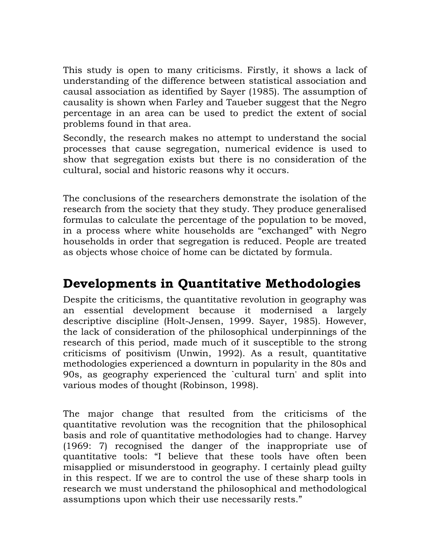This study is open to many criticisms. Firstly, it shows a lack of understanding of the difference between statistical association and causal association as identified by Sayer (1985). The assumption of causality is shown when Farley and Taueber suggest that the Negro percentage in an area can be used to predict the extent of social problems found in that area.

Secondly, the research makes no attempt to understand the social processes that cause segregation, numerical evidence is used to show that segregation exists but there is no consideration of the cultural, social and historic reasons why it occurs.

The conclusions of the researchers demonstrate the isolation of the research from the society that they study. They produce generalised formulas to calculate the percentage of the population to be moved, in a process where white households are "exchanged" with Negro households in order that segregation is reduced. People are treated as objects whose choice of home can be dictated by formula.

#### **Developments in Quantitative Methodologies**

Despite the criticisms, the quantitative revolution in geography was an essential development because it modernised a largely descriptive discipline (Holt-Jensen, 1999. Sayer, 1985). However, the lack of consideration of the philosophical underpinnings of the research of this period, made much of it susceptible to the strong criticisms of positivism (Unwin, 1992). As a result, quantitative methodologies experienced a downturn in popularity in the 80s and 90s, as geography experienced the `cultural turn' and split into various modes of thought (Robinson, 1998).

The major change that resulted from the criticisms of the quantitative revolution was the recognition that the philosophical basis and role of quantitative methodologies had to change. Harvey (1969: 7) recognised the danger of the inappropriate use of quantitative tools: "I believe that these tools have often been misapplied or misunderstood in geography. I certainly plead guilty in this respect. If we are to control the use of these sharp tools in research we must understand the philosophical and methodological assumptions upon which their use necessarily rests."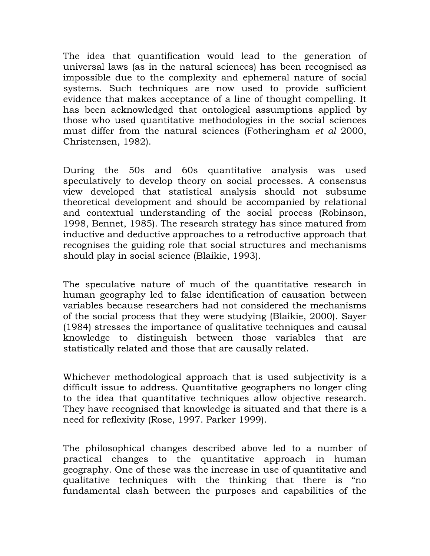The idea that quantification would lead to the generation of universal laws (as in the natural sciences) has been recognised as impossible due to the complexity and ephemeral nature of social systems. Such techniques are now used to provide sufficient evidence that makes acceptance of a line of thought compelling. It has been acknowledged that ontological assumptions applied by those who used quantitative methodologies in the social sciences must differ from the natural sciences (Fotheringham *et al* 2000, Christensen, 1982).

During the 50s and 60s quantitative analysis was used speculatively to develop theory on social processes. A consensus view developed that statistical analysis should not subsume theoretical development and should be accompanied by relational and contextual understanding of the social process (Robinson, 1998, Bennet, 1985). The research strategy has since matured from inductive and deductive approaches to a retroductive approach that recognises the guiding role that social structures and mechanisms should play in social science (Blaikie, 1993).

The speculative nature of much of the quantitative research in human geography led to false identification of causation between variables because researchers had not considered the mechanisms of the social process that they were studying (Blaikie, 2000). Sayer (1984) stresses the importance of qualitative techniques and causal knowledge to distinguish between those variables that are statistically related and those that are causally related.

Whichever methodological approach that is used subjectivity is a difficult issue to address. Quantitative geographers no longer cling to the idea that quantitative techniques allow objective research. They have recognised that knowledge is situated and that there is a need for reflexivity (Rose, 1997. Parker 1999).

The philosophical changes described above led to a number of practical changes to the quantitative approach in human geography. One of these was the increase in use of quantitative and qualitative techniques with the thinking that there is "no fundamental clash between the purposes and capabilities of the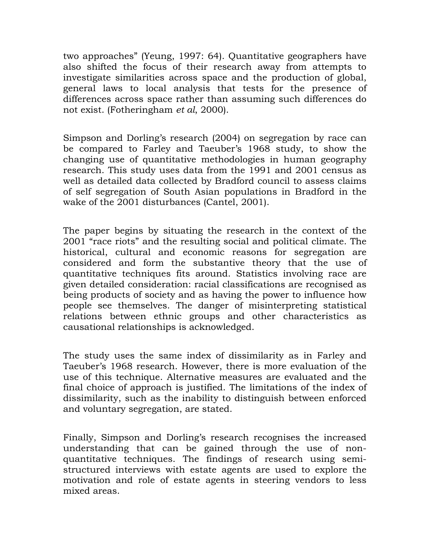two approaches" (Yeung, 1997: 64). Quantitative geographers have also shifted the focus of their research away from attempts to investigate similarities across space and the production of global, general laws to local analysis that tests for the presence of differences across space rather than assuming such differences do not exist. (Fotheringham *et al*, 2000).

Simpson and Dorling's research (2004) on segregation by race can be compared to Farley and Taeuber's 1968 study, to show the changing use of quantitative methodologies in human geography research. This study uses data from the 1991 and 2001 census as well as detailed data collected by Bradford council to assess claims of self segregation of South Asian populations in Bradford in the wake of the 2001 disturbances (Cantel, 2001).

The paper begins by situating the research in the context of the 2001 "race riots" and the resulting social and political climate. The historical, cultural and economic reasons for segregation are considered and form the substantive theory that the use of quantitative techniques fits around. Statistics involving race are given detailed consideration: racial classifications are recognised as being products of society and as having the power to influence how people see themselves. The danger of misinterpreting statistical relations between ethnic groups and other characteristics as causational relationships is acknowledged.

The study uses the same index of dissimilarity as in Farley and Taeuber's 1968 research. However, there is more evaluation of the use of this technique. Alternative measures are evaluated and the final choice of approach is justified. The limitations of the index of dissimilarity, such as the inability to distinguish between enforced and voluntary segregation, are stated.

Finally, Simpson and Dorling's research recognises the increased understanding that can be gained through the use of nonquantitative techniques. The findings of research using semistructured interviews with estate agents are used to explore the motivation and role of estate agents in steering vendors to less mixed areas.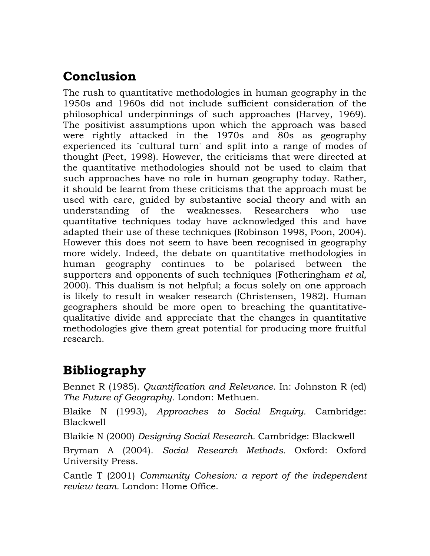#### **Conclusion**

The rush to quantitative methodologies in human geography in the 1950s and 1960s did not include sufficient consideration of the philosophical underpinnings of such approaches (Harvey, 1969). The positivist assumptions upon which the approach was based were rightly attacked in the 1970s and 80s as geography experienced its `cultural turn' and split into a range of modes of thought (Peet, 1998). However, the criticisms that were directed at the quantitative methodologies should not be used to claim that such approaches have no role in human geography today. Rather, it should be learnt from these criticisms that the approach must be used with care, guided by substantive social theory and with an understanding of the weaknesses. Researchers who use quantitative techniques today have acknowledged this and have adapted their use of these techniques (Robinson 1998, Poon, 2004). However this does not seem to have been recognised in geography more widely. Indeed, the debate on quantitative methodologies in human geography continues to be polarised between the supporters and opponents of such techniques (Fotheringham *et al,* 2000). This dualism is not helpful; a focus solely on one approach is likely to result in weaker research (Christensen, 1982). Human geographers should be more open to breaching the quantitativequalitative divide and appreciate that the changes in quantitative methodologies give them great potential for producing more fruitful research.

### **Bibliography**

Bennet R (1985). *Quantification and Relevance.* In: Johnston R (ed) *The Future of Geography.* London: Methuen.

Blaike N (1993), *Approaches to Social Enquiry.* Cambridge: Blackwell

Blaikie N (2000) *Designing Social Research.* Cambridge: Blackwell

Bryman A (2004). *Social Research Methods.* Oxford: Oxford University Press.

Cantle T (2001) *Community Cohesion: a report of the independent review team.* London: Home Office.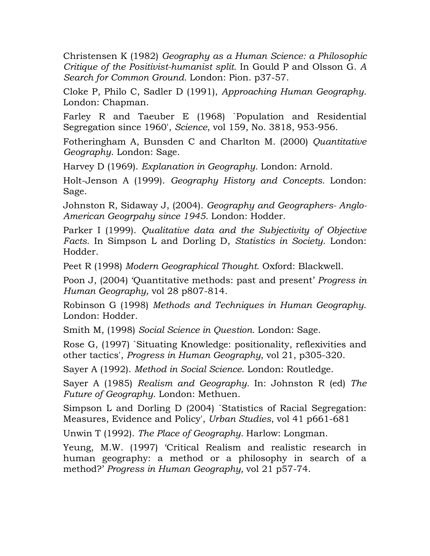Christensen K (1982) *Geography as a Human Science: a Philosophic Critique of the Positivist-humanist split.* In Gould P and Olsson G. *A Search for Common Ground.* London: Pion. p37-57.

Cloke P, Philo C, Sadler D (1991), *Approaching Human Geography.* London: Chapman.

Farley R and Taeuber E (1968) `Population and Residential Segregation since 1960', *Science*, vol 159, No. 3818, 953-956.

Fotheringham A, Bunsden C and Charlton M. (2000) *Quantitative Geography*. London: Sage.

Harvey D (1969). *Explanation in Geography.* London: Arnold.

Holt-Jenson A (1999). *Geography History and Concepts.* London: Sage.

Johnston R, Sidaway J, (2004). *Geography and Geographers- Anglo-American Geogrpahy since 1945.* London: Hodder.

Parker I (1999). *Qualitative data and the Subjectivity of Objective Facts.* In Simpson L and Dorling D, *Statistics in Society.* London: Hodder.

Peet R (1998) *Modern Geographical Thought.* Oxford: Blackwell.

Poon J, (2004) 'Quantitative methods: past and present' *Progress in Human Geography,* vol 28 p807-814.

Robinson G (1998) *Methods and Techniques in Human Geography*. London: Hodder.

Smith M, (1998) *Social Science in Question.* London: Sage.

Rose G, (1997) `Situating Knowledge: positionality, reflexivities and other tactics', *Progress in Human Geography*, vol 21, p305-320.

Sayer A (1992). *Method in Social Science*. London: Routledge.

Sayer A (1985) *Realism and Geography.* In: Johnston R (ed) *The Future of Geography.* London: Methuen.

Simpson L and Dorling D (2004) `Statistics of Racial Segregation: Measures, Evidence and Policy', *Urban Studies*, vol 41 p661-681

Unwin T (1992). *The Place of Geography.* Harlow: Longman.

Yeung, M.W. (1997) 'Critical Realism and realistic research in human geography: a method or a philosophy in search of a method?' *Progress in Human Geography,* vol 21 p57-74.